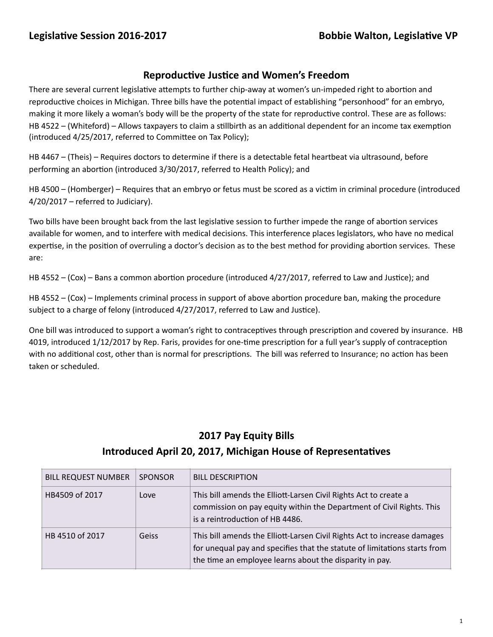## **Reproductive Justice and Women's Freedom**

There are several current legislative attempts to further chip-away at women's un-impeded right to abortion and reproductive choices in Michigan. Three bills have the potential impact of establishing "personhood" for an embryo, making it more likely a woman's body will be the property of the state for reproductive control. These are as follows: HB 4522 – (Whiteford) – Allows taxpayers to claim a stillbirth as an additional dependent for an income tax exemption (introduced 4/25/2017, referred to Committee on Tax Policy);

HB 4467 – (Theis) – Requires doctors to determine if there is a detectable fetal heartbeat via ultrasound, before performing an abortion (introduced 3/30/2017, referred to Health Policy); and

HB 4500 – (Homberger) – Requires that an embryo or fetus must be scored as a victim in criminal procedure (introduced  $4/20/2017$  – referred to Judiciary).

Two bills have been brought back from the last legislative session to further impede the range of abortion services available for women, and to interfere with medical decisions. This interference places legislators, who have no medical expertise, in the position of overruling a doctor's decision as to the best method for providing abortion services. These are: 

HB 4552 – (Cox) – Bans a common abortion procedure (introduced  $4/27/2017$ , referred to Law and Justice); and

HB 4552 –  $(Cox)$  – Implements criminal process in support of above abortion procedure ban, making the procedure subject to a charge of felony (introduced 4/27/2017, referred to Law and Justice).

One bill was introduced to support a woman's right to contraceptives through prescription and covered by insurance. HB 4019, introduced 1/12/2017 by Rep. Faris, provides for one-time prescription for a full year's supply of contraception with no additional cost, other than is normal for prescriptions. The bill was referred to Insurance; no action has been taken or scheduled.

## **2017 Pay Equity Bills**

## **Introduced April 20, 2017, Michigan House of Representatives**

| <b>BILL REQUEST NUMBER</b> | <b>SPONSOR</b> | <b>BILL DESCRIPTION</b>                                                                                                                                                                                          |
|----------------------------|----------------|------------------------------------------------------------------------------------------------------------------------------------------------------------------------------------------------------------------|
| HB4509 of 2017             | Love           | This bill amends the Elliott-Larsen Civil Rights Act to create a<br>commission on pay equity within the Department of Civil Rights. This<br>is a reintroduction of HB 4486.                                      |
| HB 4510 of 2017            | Geiss          | This bill amends the Elliott-Larsen Civil Rights Act to increase damages<br>for unequal pay and specifies that the statute of limitations starts from<br>the time an employee learns about the disparity in pay. |